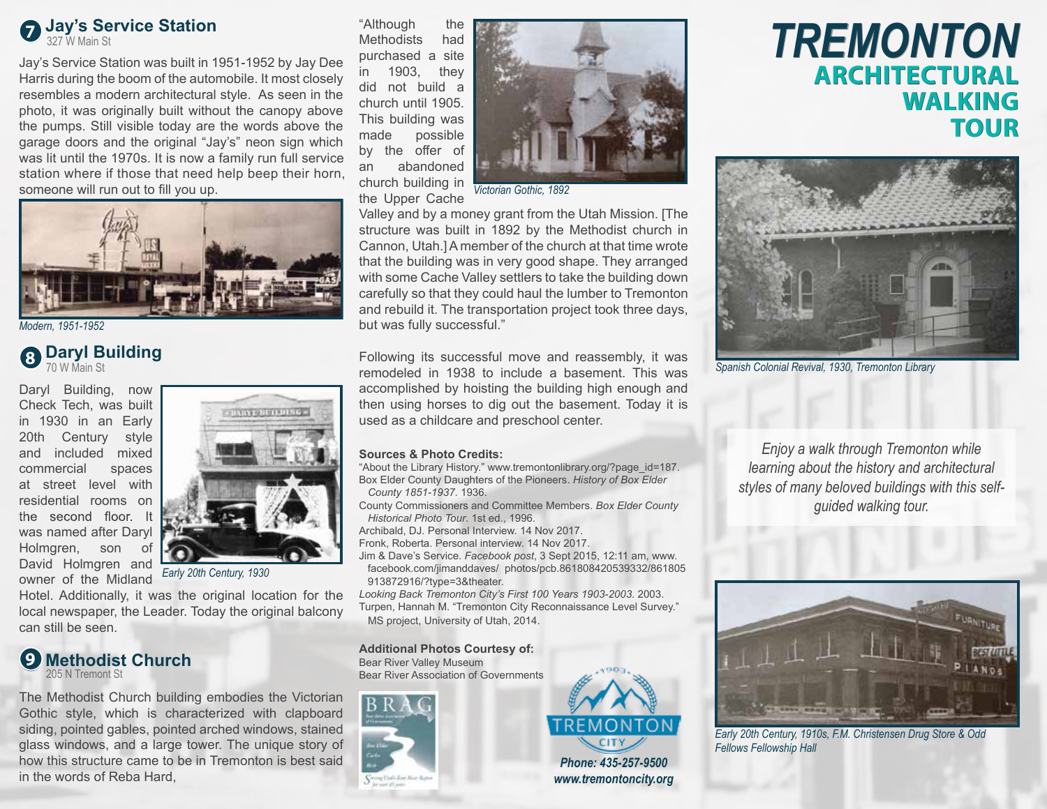

Jay's Service Station was built in 1951-1952 by Jay Dee Harris during the boom of the automobile. It most closely resembles a modern architectural style. As seen in the photo, it was originally built without the canopy above the pumps. Still visible today are the words above the garage doors and the original "Jay's" neon sign which was lit until the 1970s. It is now a family run full service station where if those that need help beep their horn, someone will run out to fill you up.



*Modern, 1951-1952*

## **8 Daryl Building**

Daryl Building, now Check Tech, was built in 1930 in an Early 20th Century style and included mixed commercial spaces at street level with residential rooms on the second floor. It was named after Daryl Holmgren, son of David Holmgren and owner of the Midland



*Early 20th Century, 1930*

Hotel. Additionally, it was the original location for the local newspaper, the Leader. Today the original balcony can still be seen.



The Methodist Church building embodies the Victorian Gothic style, which is characterized with clapboard siding, pointed gables, pointed arched windows, stained glass windows, and a large tower. The unique story of how this structure came to be in Tremonton is best said in the words of Reba Hard,

"Although the Methodists had purchased a site in 1903, they did not build a church until 1905. This building was made possible by the offer of an abandoned church building in the Upper Cache



*Victorian Gothic, 1892*

Valley and by a money grant from the Utah Mission. [The structure was built in 1892 by the Methodist church in Cannon, Utah.]A member of the church at that time wrote that the building was in very good shape. They arranged with some Cache Valley settlers to take the building down carefully so that they could haul the lumber to Tremonton and rebuild it. The transportation project took three days, but was fully successful."

**Sparyl Bullaing**<br>
To W Main St Tremonton Library **1938 1938** Include a basement This was Spanish Colonial Revival, 1930, Tremonton Library remodeled in 1938 to include a basement. This was accomplished by hoisting the building high enough and then using horses to dig out the basement. Today it is used as a childcare and preschool center.

### **Sources & Photo Credits:**

"About the Library History." www.tremontonlibrary.org/?page\_id=187. Box Elder County Daughters of the Pioneers. *History of Box Elder County 1851-1937*. 1936.

County Commissioners and Committee Members. *Box Elder County Historical Photo Tour*. 1st ed., 1996.

Archibald, DJ. Personal Interview. 14 Nov 2017.

Fronk, Roberta. Personal interview. 14 Nov 2017.

Jim & Dave's Service. *Facebook post*, 3 Sept 2015, 12:11 am, www. facebook.com/jimanddaves/ photos/pcb.861808420539332/861805 913872916/?type=3&theater.

*Looking Back Tremonton City's First 100 Years 1903-2003*. 2003. Turpen, Hannah M. "Tremonton City Reconnaissance Level Survey." MS project, University of Utah, 2014.

**Additional Photos Courtesy of:** Bear River Valley Museum Bear River Association of Governments





*www.tremontoncity.org*

# **ARCHITECTURAL ARCHITECTURALWALKING WALKING TOUR TOUR TREMONTON**



*Enjoy a walk through Tremonton while learning about the history and architectural styles of many beloved buildings with this selfguided walking tour.* 



*Early 20th Century, 1910s, F.M. Christensen Drug Store & Odd Fellows Fellowship Hall*